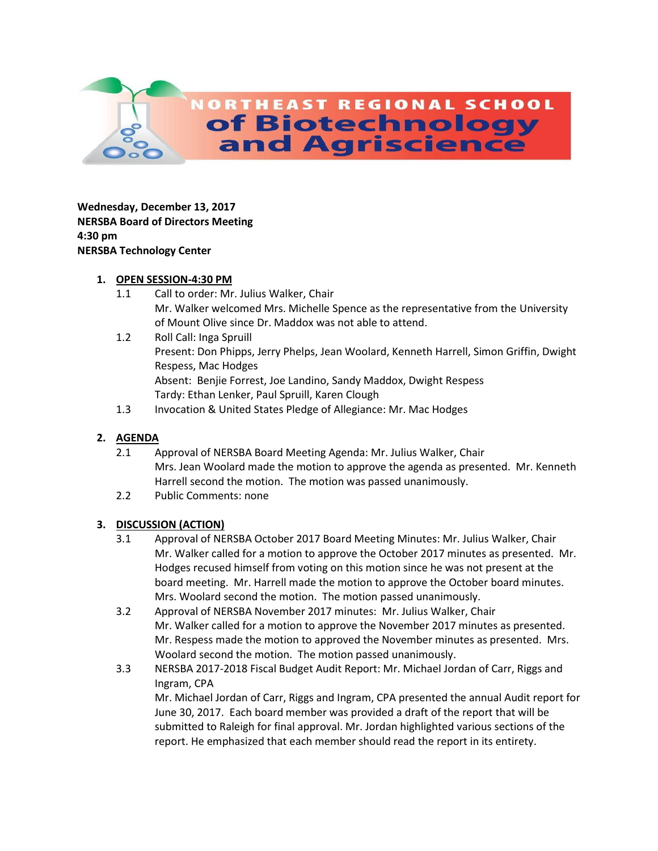

**Wednesday, December 13, 2017 NERSBA Board of Directors Meeting 4:30 pm NERSBA Technology Center**

### **1. OPEN SESSION-4:30 PM**

- 1.1 Call to order: Mr. Julius Walker, Chair Mr. Walker welcomed Mrs. Michelle Spence as the representative from the University of Mount Olive since Dr. Maddox was not able to attend.
- 1.2 Roll Call: Inga Spruill Present: Don Phipps, Jerry Phelps, Jean Woolard, Kenneth Harrell, Simon Griffin, Dwight Respess, Mac Hodges Absent: Benjie Forrest, Joe Landino, Sandy Maddox, Dwight Respess Tardy: Ethan Lenker, Paul Spruill, Karen Clough
- 1.3 Invocation & United States Pledge of Allegiance: Mr. Mac Hodges

# **2. AGENDA**

- 2.1 Approval of NERSBA Board Meeting Agenda: Mr. Julius Walker, Chair Mrs. Jean Woolard made the motion to approve the agenda as presented. Mr. Kenneth Harrell second the motion. The motion was passed unanimously.
- 2.2 Public Comments: none

# **3. DISCUSSION (ACTION)**

- 3.1 Approval of NERSBA October 2017 Board Meeting Minutes: Mr. Julius Walker, Chair Mr. Walker called for a motion to approve the October 2017 minutes as presented. Mr. Hodges recused himself from voting on this motion since he was not present at the board meeting. Mr. Harrell made the motion to approve the October board minutes. Mrs. Woolard second the motion. The motion passed unanimously.
- 3.2 Approval of NERSBA November 2017 minutes: Mr. Julius Walker, Chair Mr. Walker called for a motion to approve the November 2017 minutes as presented. Mr. Respess made the motion to approved the November minutes as presented. Mrs. Woolard second the motion. The motion passed unanimously.
- 3.3 NERSBA 2017-2018 Fiscal Budget Audit Report: Mr. Michael Jordan of Carr, Riggs and Ingram, CPA Mr. Michael Jordan of Carr, Riggs and Ingram, CPA presented the annual Audit report for June 30, 2017. Each board member was provided a draft of the report that will be submitted to Raleigh for final approval. Mr. Jordan highlighted various sections of the report. He emphasized that each member should read the report in its entirety.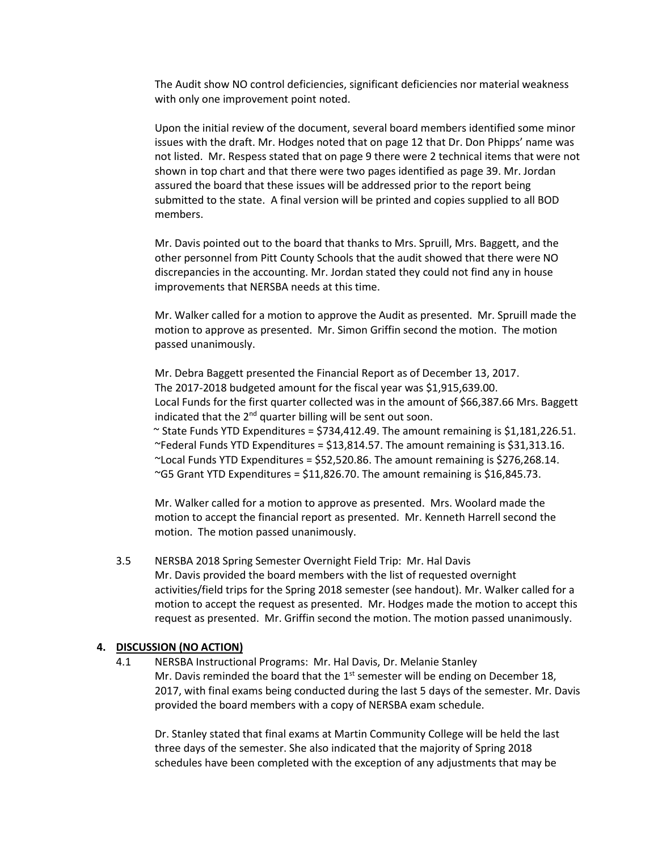The Audit show NO control deficiencies, significant deficiencies nor material weakness with only one improvement point noted.

Upon the initial review of the document, several board members identified some minor issues with the draft. Mr. Hodges noted that on page 12 that Dr. Don Phipps' name was not listed. Mr. Respess stated that on page 9 there were 2 technical items that were not shown in top chart and that there were two pages identified as page 39. Mr. Jordan assured the board that these issues will be addressed prior to the report being submitted to the state. A final version will be printed and copies supplied to all BOD members.

Mr. Davis pointed out to the board that thanks to Mrs. Spruill, Mrs. Baggett, and the other personnel from Pitt County Schools that the audit showed that there were NO discrepancies in the accounting. Mr. Jordan stated they could not find any in house improvements that NERSBA needs at this time.

Mr. Walker called for a motion to approve the Audit as presented. Mr. Spruill made the motion to approve as presented. Mr. Simon Griffin second the motion. The motion passed unanimously.

Mr. Debra Baggett presented the Financial Report as of December 13, 2017. The 2017-2018 budgeted amount for the fiscal year was \$1,915,639.00. Local Funds for the first quarter collected was in the amount of \$66,387.66 Mrs. Baggett indicated that the 2<sup>nd</sup> quarter billing will be sent out soon.

 $\sim$  State Funds YTD Expenditures = \$734,412.49. The amount remaining is \$1,181,226.51.  $\degree$ Federal Funds YTD Expenditures = \$13,814.57. The amount remaining is \$31,313.16.  $\textdegree$ Local Funds YTD Expenditures = \$52,520.86. The amount remaining is \$276,268.14. ~G5 Grant YTD Expenditures =  $$11,826.70$ . The amount remaining is  $$16,845.73$ .

Mr. Walker called for a motion to approve as presented. Mrs. Woolard made the motion to accept the financial report as presented. Mr. Kenneth Harrell second the motion. The motion passed unanimously.

3.5 NERSBA 2018 Spring Semester Overnight Field Trip: Mr. Hal Davis Mr. Davis provided the board members with the list of requested overnight activities/field trips for the Spring 2018 semester (see handout). Mr. Walker called for a motion to accept the request as presented. Mr. Hodges made the motion to accept this request as presented. Mr. Griffin second the motion. The motion passed unanimously.

#### **4. DISCUSSION (NO ACTION)**

4.1 NERSBA Instructional Programs: Mr. Hal Davis, Dr. Melanie Stanley Mr. Davis reminded the board that the  $1<sup>st</sup>$  semester will be ending on December 18, 2017, with final exams being conducted during the last 5 days of the semester. Mr. Davis provided the board members with a copy of NERSBA exam schedule.

Dr. Stanley stated that final exams at Martin Community College will be held the last three days of the semester. She also indicated that the majority of Spring 2018 schedules have been completed with the exception of any adjustments that may be